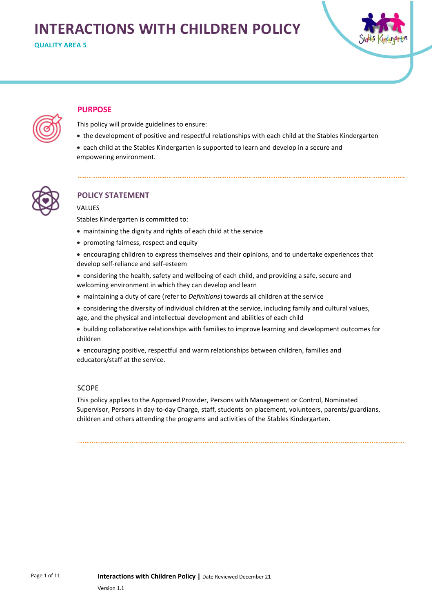# **INTERACTIONS WITH CHILDREN POLICY**

**QUALITY AREA 5**



# **PURPOSE**

This policy will provide guidelines to ensure:

- the development of positive and respectful relationships with each child at the Stables Kindergarten
- each child at the Stables Kindergarten is supported to learn and develop in a secure and empowering environment.



# **POLICY STATEMENT**

# VALUES

Stables Kindergarten is committed to:

- maintaining the dignity and rights of each child at the service
- promoting fairness, respect and equity
- encouraging children to express themselves and their opinions, and to undertake experiences that develop self-reliance and self-esteem
- considering the health, safety and wellbeing of each child, and providing a safe, secure and welcoming environment in which they can develop and learn
- maintaining a duty of care (refer to *Definitions*) towards all children at the service
- considering the diversity of individual children at the service, including family and cultural values, age, and the physical and intellectual development and abilities of each child
- building collaborative relationships with families to improve learning and development outcomes for children
- encouraging positive, respectful and warm relationships between children, families and educators/staff at the service.

# SCOPE

This policy applies to the Approved Provider, Persons with Management or Control, Nominated Supervisor, Persons in day-to-day Charge, staff, students on placement, volunteers, parents/guardians, children and others attending the programs and activities of the Stables Kindergarten.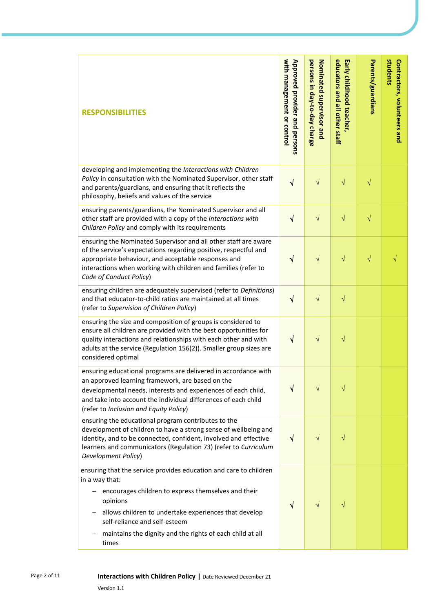| <b>RESPONSIBILITIES</b>                                                                                                                                                                                                                                                                                                | with management or control<br>Approved provider and persons | persons in day-to-day charge<br>Nominated supervisor and | educators and all other staff<br>Early childhood teacher, | Parents/guardians | students<br>Contractors, volunteers and |
|------------------------------------------------------------------------------------------------------------------------------------------------------------------------------------------------------------------------------------------------------------------------------------------------------------------------|-------------------------------------------------------------|----------------------------------------------------------|-----------------------------------------------------------|-------------------|-----------------------------------------|
| developing and implementing the Interactions with Children<br>Policy in consultation with the Nominated Supervisor, other staff<br>and parents/guardians, and ensuring that it reflects the<br>philosophy, beliefs and values of the service                                                                           | $\sqrt{}$                                                   | $\sqrt{}$                                                | $\sqrt{}$                                                 | √                 |                                         |
| ensuring parents/guardians, the Nominated Supervisor and all<br>other staff are provided with a copy of the Interactions with<br>Children Policy and comply with its requirements                                                                                                                                      | $\checkmark$                                                | $\sqrt{}$                                                | $\sqrt{}$                                                 | $\sqrt{}$         |                                         |
| ensuring the Nominated Supervisor and all other staff are aware<br>of the service's expectations regarding positive, respectful and<br>appropriate behaviour, and acceptable responses and<br>interactions when working with children and families (refer to<br>Code of Conduct Policy)                                | $\checkmark$                                                | $\sqrt{}$                                                | $\sqrt{}$                                                 | $\sqrt{}$         | V                                       |
| ensuring children are adequately supervised (refer to Definitions)<br>and that educator-to-child ratios are maintained at all times<br>(refer to Supervision of Children Policy)                                                                                                                                       | $\sqrt{2}$                                                  | $\sqrt{}$                                                | $\sqrt{}$                                                 |                   |                                         |
| ensuring the size and composition of groups is considered to<br>ensure all children are provided with the best opportunities for<br>quality interactions and relationships with each other and with<br>adults at the service (Regulation 156(2)). Smaller group sizes are<br>considered optimal                        | $\sqrt{}$                                                   | $\sqrt{}$                                                | V                                                         |                   |                                         |
| ensuring educational programs are delivered in accordance with<br>an approved learning framework, are based on the<br>developmental needs, interests and experiences of each child,<br>and take into account the individual differences of each child<br>(refer to Inclusion and Equity Policy)                        | V                                                           | $\sqrt{}$                                                | V                                                         |                   |                                         |
| ensuring the educational program contributes to the<br>development of children to have a strong sense of wellbeing and<br>identity, and to be connected, confident, involved and effective<br>learners and communicators (Regulation 73) (refer to Curriculum<br>Development Policy)                                   | $\sqrt{ }$                                                  | $\sqrt{}$                                                | V                                                         |                   |                                         |
| ensuring that the service provides education and care to children<br>in a way that:<br>encourages children to express themselves and their<br>opinions<br>allows children to undertake experiences that develop<br>self-reliance and self-esteem<br>maintains the dignity and the rights of each child at all<br>times | $\sqrt{}$                                                   | V                                                        |                                                           |                   |                                         |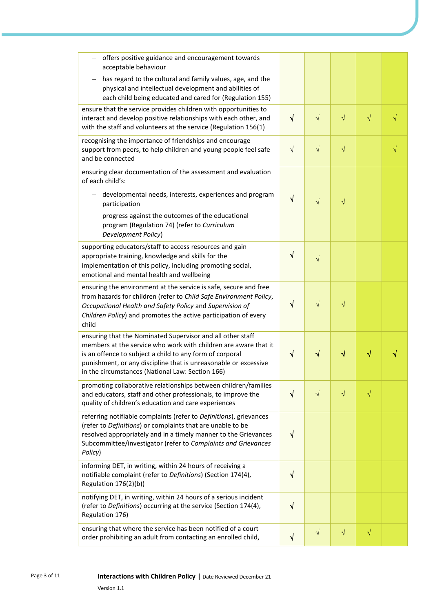| offers positive guidance and encouragement towards<br>acceptable behaviour                                                                                                                                                                                                                                       |            |            |           |           |  |
|------------------------------------------------------------------------------------------------------------------------------------------------------------------------------------------------------------------------------------------------------------------------------------------------------------------|------------|------------|-----------|-----------|--|
| has regard to the cultural and family values, age, and the<br>physical and intellectual development and abilities of<br>each child being educated and cared for (Regulation 155)                                                                                                                                 |            |            |           |           |  |
| ensure that the service provides children with opportunities to<br>interact and develop positive relationships with each other, and<br>with the staff and volunteers at the service (Regulation 156(1)                                                                                                           | $\sqrt{}$  | $\sqrt{ }$ | $\sqrt{}$ | $\sqrt{}$ |  |
| recognising the importance of friendships and encourage<br>support from peers, to help children and young people feel safe<br>and be connected                                                                                                                                                                   | $\sqrt{}$  | $\sqrt{}$  | $\sqrt{}$ |           |  |
| ensuring clear documentation of the assessment and evaluation<br>of each child's:                                                                                                                                                                                                                                |            |            |           |           |  |
| developmental needs, interests, experiences and program<br>participation                                                                                                                                                                                                                                         | $\sqrt{}$  | $\sqrt{}$  | $\sqrt{}$ |           |  |
| progress against the outcomes of the educational<br>program (Regulation 74) (refer to Curriculum<br>Development Policy)                                                                                                                                                                                          |            |            |           |           |  |
| supporting educators/staff to access resources and gain<br>appropriate training, knowledge and skills for the<br>implementation of this policy, including promoting social,<br>emotional and mental health and wellbeing                                                                                         | $\sqrt{ }$ | $\sqrt{}$  |           |           |  |
| ensuring the environment at the service is safe, secure and free<br>from hazards for children (refer to Child Safe Environment Policy,<br>Occupational Health and Safety Policy and Supervision of<br>Children Policy) and promotes the active participation of every<br>child                                   | $\sqrt{}$  | $\sqrt{}$  | $\sqrt{}$ |           |  |
| ensuring that the Nominated Supervisor and all other staff<br>members at the service who work with children are aware that it<br>is an offence to subject a child to any form of corporal<br>punishment, or any discipline that is unreasonable or excessive<br>in the circumstances (National Law: Section 166) | $\sqrt{}$  | $\sqrt{}$  | √         | ٧         |  |
| promoting collaborative relationships between children/families<br>and educators, staff and other professionals, to improve the<br>quality of children's education and care experiences                                                                                                                          | $\sqrt{ }$ | $\sqrt{}$  | $\sqrt{}$ | $\sqrt{}$ |  |
| referring notifiable complaints (refer to Definitions), grievances<br>(refer to Definitions) or complaints that are unable to be<br>resolved appropriately and in a timely manner to the Grievances<br>Subcommittee/investigator (refer to Complaints and Grievances<br>Policy)                                  | √          |            |           |           |  |
| informing DET, in writing, within 24 hours of receiving a<br>notifiable complaint (refer to Definitions) (Section 174(4),<br>Regulation 176(2)(b))                                                                                                                                                               | $\sqrt{}$  |            |           |           |  |
| notifying DET, in writing, within 24 hours of a serious incident<br>(refer to Definitions) occurring at the service (Section 174(4),<br>Regulation 176)                                                                                                                                                          | √          |            |           |           |  |
| ensuring that where the service has been notified of a court<br>order prohibiting an adult from contacting an enrolled child,                                                                                                                                                                                    | V          | $\sqrt{}$  | $\sqrt{}$ | $\sqrt{}$ |  |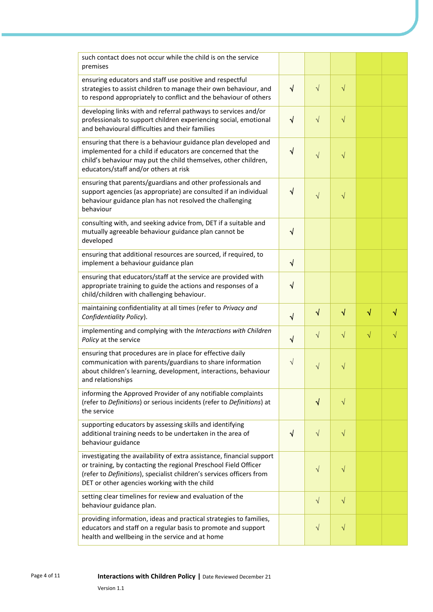| such contact does not occur while the child is on the service<br>premises                                                                                                                                                                                        |            |           |           |           |           |
|------------------------------------------------------------------------------------------------------------------------------------------------------------------------------------------------------------------------------------------------------------------|------------|-----------|-----------|-----------|-----------|
| ensuring educators and staff use positive and respectful<br>strategies to assist children to manage their own behaviour, and<br>to respond appropriately to conflict and the behaviour of others                                                                 | $\sqrt{ }$ | $\sqrt{}$ | $\sqrt{}$ |           |           |
| developing links with and referral pathways to services and/or<br>professionals to support children experiencing social, emotional<br>and behavioural difficulties and their families                                                                            | $\sqrt{ }$ | $\sqrt{}$ | $\sqrt{}$ |           |           |
| ensuring that there is a behaviour guidance plan developed and<br>implemented for a child if educators are concerned that the<br>child's behaviour may put the child themselves, other children,<br>educators/staff and/or others at risk                        | $\sqrt{ }$ | $\sqrt{}$ | $\sqrt{}$ |           |           |
| ensuring that parents/guardians and other professionals and<br>support agencies (as appropriate) are consulted if an individual<br>behaviour guidance plan has not resolved the challenging<br>behaviour                                                         | $\sqrt{}$  | $\sqrt{}$ | $\sqrt{}$ |           |           |
| consulting with, and seeking advice from, DET if a suitable and<br>mutually agreeable behaviour guidance plan cannot be<br>developed                                                                                                                             | $\sqrt{}$  |           |           |           |           |
| ensuring that additional resources are sourced, if required, to<br>implement a behaviour guidance plan                                                                                                                                                           | $\sqrt{ }$ |           |           |           |           |
| ensuring that educators/staff at the service are provided with<br>appropriate training to guide the actions and responses of a<br>child/children with challenging behaviour.                                                                                     | $\sqrt{ }$ |           |           |           |           |
| maintaining confidentiality at all times (refer to Privacy and<br>Confidentiality Policy).                                                                                                                                                                       | $\sqrt{ }$ | $\sqrt{}$ | $\sqrt{}$ | $\sqrt{}$ | √         |
| implementing and complying with the Interactions with Children<br>Policy at the service                                                                                                                                                                          | $\sqrt{ }$ | $\sqrt{}$ | $\sqrt{}$ | $\sqrt{}$ | $\sqrt{}$ |
| ensuring that procedures are in place for effective daily<br>communication with parents/guardians to share information<br>about children's learning, development, interactions, behaviour<br>and relationships                                                   | V          | $\sqrt{}$ | $\sqrt{}$ |           |           |
| informing the Approved Provider of any notifiable complaints<br>(refer to Definitions) or serious incidents (refer to Definitions) at<br>the service                                                                                                             |            | $\sqrt{}$ | $\sqrt{}$ |           |           |
| supporting educators by assessing skills and identifying<br>additional training needs to be undertaken in the area of<br>behaviour guidance                                                                                                                      | $\sqrt{ }$ | $\sqrt{}$ | $\sqrt{}$ |           |           |
| investigating the availability of extra assistance, financial support<br>or training, by contacting the regional Preschool Field Officer<br>(refer to Definitions), specialist children's services officers from<br>DET or other agencies working with the child |            | $\sqrt{}$ | $\sqrt{}$ |           |           |
| setting clear timelines for review and evaluation of the<br>behaviour guidance plan.                                                                                                                                                                             |            | $\sqrt{}$ | $\sqrt{}$ |           |           |
| providing information, ideas and practical strategies to families,<br>educators and staff on a regular basis to promote and support<br>health and wellbeing in the service and at home                                                                           |            | $\sqrt{}$ | $\sqrt{}$ |           |           |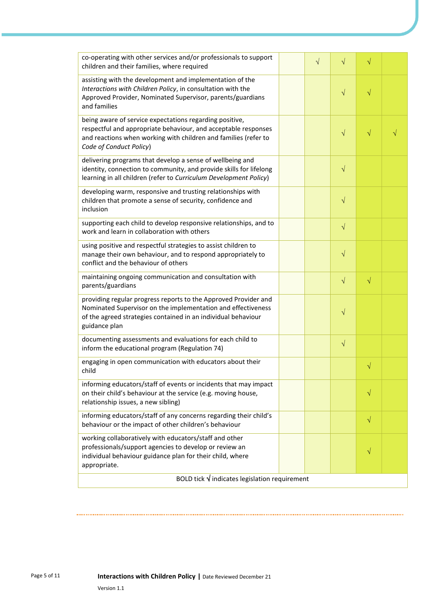| co-operating with other services and/or professionals to support<br>children and their families, where required                                                                                                         |  | $\sqrt{}$ | $\sqrt{}$ | $\sqrt{}$ |  |
|-------------------------------------------------------------------------------------------------------------------------------------------------------------------------------------------------------------------------|--|-----------|-----------|-----------|--|
| assisting with the development and implementation of the<br>Interactions with Children Policy, in consultation with the<br>Approved Provider, Nominated Supervisor, parents/guardians<br>and families                   |  |           | $\sqrt{}$ | $\sqrt{}$ |  |
| being aware of service expectations regarding positive,<br>respectful and appropriate behaviour, and acceptable responses<br>and reactions when working with children and families (refer to<br>Code of Conduct Policy) |  |           | $\sqrt{}$ | $\sqrt{}$ |  |
| delivering programs that develop a sense of wellbeing and<br>identity, connection to community, and provide skills for lifelong<br>learning in all children (refer to Curriculum Development Policy)                    |  |           | $\sqrt{}$ |           |  |
| developing warm, responsive and trusting relationships with<br>children that promote a sense of security, confidence and<br>inclusion                                                                                   |  |           | $\sqrt{}$ |           |  |
| supporting each child to develop responsive relationships, and to<br>work and learn in collaboration with others                                                                                                        |  |           | $\sqrt{}$ |           |  |
| using positive and respectful strategies to assist children to<br>manage their own behaviour, and to respond appropriately to<br>conflict and the behaviour of others                                                   |  |           | $\sqrt{}$ |           |  |
| maintaining ongoing communication and consultation with<br>parents/guardians                                                                                                                                            |  |           | $\sqrt{}$ | $\sqrt{}$ |  |
| providing regular progress reports to the Approved Provider and<br>Nominated Supervisor on the implementation and effectiveness<br>of the agreed strategies contained in an individual behaviour<br>guidance plan       |  |           | $\sqrt{}$ |           |  |
| documenting assessments and evaluations for each child to<br>inform the educational program (Regulation 74)                                                                                                             |  |           | $\sqrt{}$ |           |  |
| engaging in open communication with educators about their<br>child                                                                                                                                                      |  |           |           | $\sqrt{}$ |  |
| informing educators/staff of events or incidents that may impact<br>on their child's behaviour at the service (e.g. moving house,<br>relationship issues, a new sibling)                                                |  |           |           | $\sqrt{}$ |  |
| informing educators/staff of any concerns regarding their child's<br>behaviour or the impact of other children's behaviour                                                                                              |  |           |           | $\sqrt{}$ |  |
| working collaboratively with educators/staff and other<br>professionals/support agencies to develop or review an<br>individual behaviour guidance plan for their child, where<br>appropriate.                           |  |           |           | $\sqrt{}$ |  |
| BOLD tick $\sqrt{}$ indicates legislation requirement                                                                                                                                                                   |  |           |           |           |  |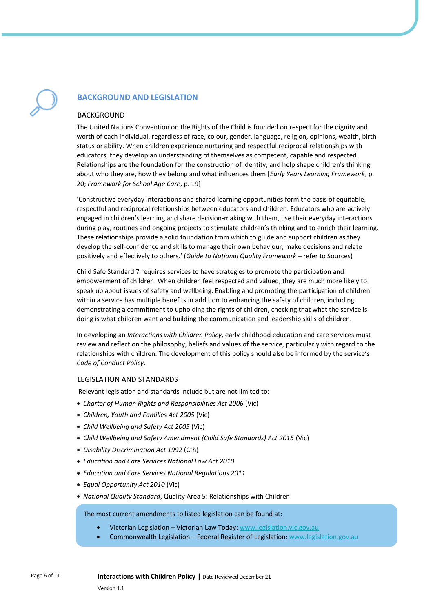# **BACKGROUND AND LEGISLATION**

# BACKGROUND

The United Nations Convention on the Rights of the Child is founded on respect for the dignity and worth of each individual, regardless of race, colour, gender, language, religion, opinions, wealth, birth status or ability. When children experience nurturing and respectful reciprocal relationships with educators, they develop an understanding of themselves as competent, capable and respected. Relationships are the foundation for the construction of identity, and help shape children's thinking about who they are, how they belong and what influences them [*Early Years Learning Framework*, p. 20; *Framework for School Age Care*, p. 19]

'Constructive everyday interactions and shared learning opportunities form the basis of equitable, respectful and reciprocal relationships between educators and children. Educators who are actively engaged in children's learning and share decision-making with them, use their everyday interactions during play, routines and ongoing projects to stimulate children's thinking and to enrich their learning. These relationships provide a solid foundation from which to guide and support children as they develop the self-confidence and skills to manage their own behaviour, make decisions and relate positively and effectively to others.' (*Guide to National Quality Framework* – refer to Sources)

Child Safe Standard 7 requires services to have strategies to promote the participation and empowerment of children. When children feel respected and valued, they are much more likely to speak up about issues of safety and wellbeing. Enabling and promoting the participation of children within a service has multiple benefits in addition to enhancing the safety of children, including demonstrating a commitment to upholding the rights of children, checking that what the service is doing is what children want and building the communication and leadership skills of children.

In developing an *Interactions with Children Policy*, early childhood education and care services must review and reflect on the philosophy, beliefs and values of the service, particularly with regard to the relationships with children. The development of this policy should also be informed by the service's *Code of Conduct Policy*.

# LEGISLATION AND STANDARDS

Relevant legislation and standards include but are not limited to:

- *Charter of Human Rights and Responsibilities Act 2006* (Vic)
- *Children, Youth and Families Act 2005* (Vic)
- *Child Wellbeing and Safety Act 2005* (Vic)
- *Child Wellbeing and Safety Amendment (Child Safe Standards) Act 2015* (Vic)
- *Disability Discrimination Act 1992* (Cth)
- *Education and Care Services National Law Act 2010*
- *Education and Care Services National Regulations 2011*
- *Equal Opportunity Act 2010* (Vic)
- *National Quality Standard*, Quality Area 5: Relationships with Children

The most current amendments to listed legislation can be found at:

- Victorian Legislation Victorian Law Today[: www.legislation.vic.gov.au](http://www.legislation.vic.gov.au/)
- Commonwealth Legislation Federal Register of Legislation: [www.legislation.gov.au](http://www.legislation.gov.au/)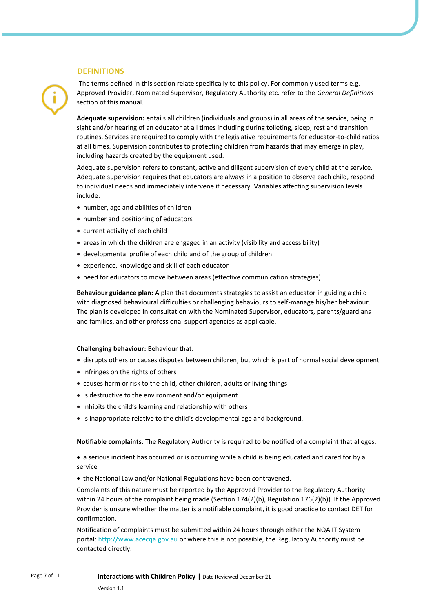# **DEFINITIONS**



The terms defined in this section relate specifically to this policy. For commonly used terms e.g. Approved Provider, Nominated Supervisor, Regulatory Authority etc. refer to the *General Definitions* section of this manual.

**Adequate supervision:** entails all children (individuals and groups) in all areas of the service, being in sight and/or hearing of an educator at all times including during toileting, sleep, rest and transition routines. Services are required to comply with the legislative requirements for educator-to-child ratios at all times. Supervision contributes to protecting children from hazards that may emerge in play, including hazards created by the equipment used.

Adequate supervision refers to constant, active and diligent supervision of every child at the service. Adequate supervision requires that educators are always in a position to observe each child, respond to individual needs and immediately intervene if necessary. Variables affecting supervision levels include:

- number, age and abilities of children
- number and positioning of educators
- current activity of each child
- areas in which the children are engaged in an activity (visibility and accessibility)
- developmental profile of each child and of the group of children
- experience, knowledge and skill of each educator
- need for educators to move between areas (effective communication strategies).

**Behaviour guidance plan:** A plan that documents strategies to assist an educator in guiding a child with diagnosed behavioural difficulties or challenging behaviours to self-manage his/her behaviour. The plan is developed in consultation with the Nominated Supervisor, educators, parents/guardians and families, and other professional support agencies as applicable.

#### **Challenging behaviour:** Behaviour that:

- disrupts others or causes disputes between children, but which is part of normal social development
- infringes on the rights of others
- causes harm or risk to the child, other children, adults or living things
- is destructive to the environment and/or equipment
- inhibits the child's learning and relationship with others
- is inappropriate relative to the child's developmental age and background.

**Notifiable complaints**: The Regulatory Authority is required to be notified of a complaint that alleges:

- a serious incident has occurred or is occurring while a child is being educated and cared for by a service
- the National Law and/or National Regulations have been contravened.

Complaints of this nature must be reported by the Approved Provider to the Regulatory Authority within 24 hours of the complaint being made (Section 174(2)(b), Regulation 176(2)(b)). If the Approved Provider is unsure whether the matter is a notifiable complaint, it is good practice to contact DET for confirmation.

Notification of complaints must be submitted within 24 hours through either the NQA IT System portal: [http://www.acecqa.gov.au](http://www.acecqa.gov.au/) or where this is not possible, the Regulatory Authority must be contacted directly.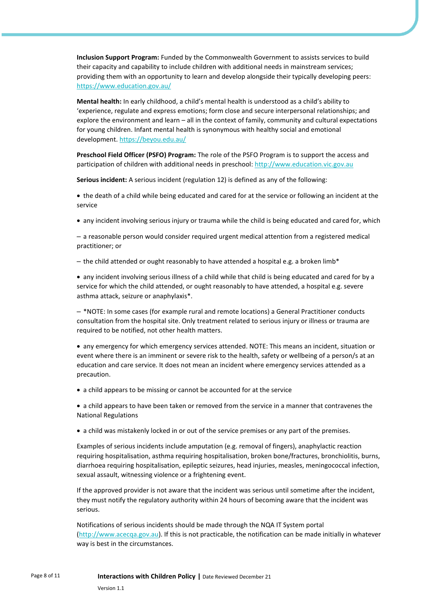**Inclusion Support Program:** Funded by the Commonwealth Government to assists services to build their capacity and capability to include children with additional needs in mainstream services; providing them with an opportunity to learn and develop alongside their typically developing peers: <https://www.education.gov.au/>

**Mental health:** In early childhood, a child's mental health is understood as a child's ability to 'experience, regulate and express emotions; form close and secure interpersonal relationships; and explore the environment and learn – all in the context of family, community and cultural expectations for young children. Infant mental health is synonymous with healthy social and emotional development[. https://beyou.edu.au/](https://beyou.edu.au/)

**Preschool Field Officer (PSFO) Program:** The role of the PSFO Program is to support the access and participation of children with additional needs in preschool[: http://www.education.vic.gov.au](http://www.education.vic.gov.au/Pages/default.aspx) 

**Serious incident:** A serious incident (regulation 12) is defined as any of the following:

• the death of a child while being educated and cared for at the service or following an incident at the service

• any incident involving serious injury or trauma while the child is being educated and cared for, which

– a reasonable person would consider required urgent medical attention from a registered medical practitioner; or

 $-$  the child attended or ought reasonably to have attended a hospital e.g. a broken limb\*

• any incident involving serious illness of a child while that child is being educated and cared for by a service for which the child attended, or ought reasonably to have attended, a hospital e.g. severe asthma attack, seizure or anaphylaxis\*.

– \*NOTE: In some cases (for example rural and remote locations) a General Practitioner conducts consultation from the hospital site. Only treatment related to serious injury or illness or trauma are required to be notified, not other health matters.

• any emergency for which emergency services attended. NOTE: This means an incident, situation or event where there is an imminent or severe risk to the health, safety or wellbeing of a person/s at an education and care service. It does not mean an incident where emergency services attended as a precaution.

• a child appears to be missing or cannot be accounted for at the service

• a child appears to have been taken or removed from the service in a manner that contravenes the National Regulations

• a child was mistakenly locked in or out of the service premises or any part of the premises.

Examples of serious incidents include amputation (e.g. removal of fingers), anaphylactic reaction requiring hospitalisation, asthma requiring hospitalisation, broken bone/fractures, bronchiolitis, burns, diarrhoea requiring hospitalisation, epileptic seizures, head injuries, measles, meningococcal infection, sexual assault, witnessing violence or a frightening event.

If the approved provider is not aware that the incident was serious until sometime after the incident, they must notify the regulatory authority within 24 hours of becoming aware that the incident was serious.

Notifications of serious incidents should be made through the NQA IT System portal [\(http://www.acecqa.gov.au\)](http://www.acecqa.gov.au/). If this is not practicable, the notification can be made initially in whatever way is best in the circumstances.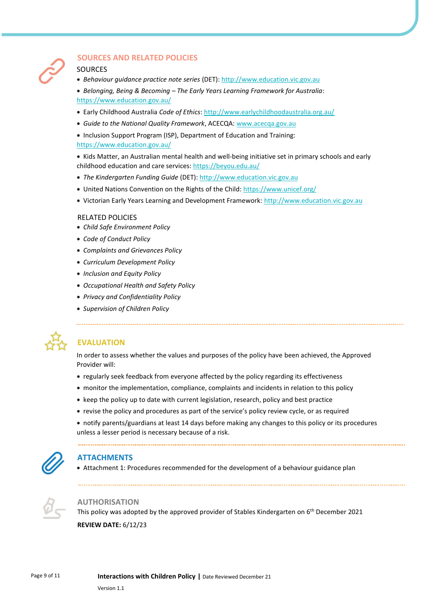

# **SOURCES AND RELATED POLICIES**

# **SOURCES**

- *Behaviour guidance practice note series* (DET)[: http://www.education.vic.gov.au](http://www.education.vic.gov.au/Pages/default.aspx)
- *Belonging, Being & Becoming – The Early Years Learning Framework for Australia*: <https://www.education.gov.au/>
- Early Childhood Australia *Code of Ethics*[: http://www.earlychildhoodaustralia.org.au/](http://www.earlychildhoodaustralia.org.au/)
- *Guide to the National Quality Framework*, ACECQA: [www.acecqa.gov.au](http://www.acecqa.gov.au/)
- Inclusion Support Program (ISP), Department of Education and Training: <https://www.education.gov.au/>

• Kids Matter, an Australian mental health and well-being initiative set in primary schools and early childhood education and care services[: https://beyou.edu.au/](https://beyou.edu.au/)

- *The Kindergarten Funding Guide* (DET)[: http://www.education.vic.gov.au](http://www.education.vic.gov.au/Pages/default.aspx)
- United Nations Convention on the Rights of the Child[: https://www.unicef.org/](https://www.unicef.org/)
- Victorian Early Years Learning and Development Framework: [http://www.education.vic.gov.au](http://www.education.vic.gov.au/Pages/default.aspx)

# RELATED POLICIES

- *Child Safe Environment Policy*
- *Code of Conduct Policy*
- *Complaints and Grievances Policy*
- *Curriculum Development Policy*
- *Inclusion and Equity Policy*
- *Occupational Health and Safety Policy*
- *Privacy and Confidentiality Policy*
- *Supervision of Children Policy*



# **EVALUATION**

In order to assess whether the values and purposes of the policy have been achieved, the Approved Provider will:

- regularly seek feedback from everyone affected by the policy regarding its effectiveness
- monitor the implementation, compliance, complaints and incidents in relation to this policy
- keep the policy up to date with current legislation, research, policy and best practice
- revise the policy and procedures as part of the service's policy review cycle, or as required
- notify parents/guardians at least 14 days before making any changes to this policy or its procedures unless a lesser period is necessary because of a risk.



# **ATTACHMENTS**

• Attachment 1: Procedures recommended for the development of a behaviour guidance plan



#### **AUTHORISATION**

This policy was adopted by the approved provider of Stables Kindergarten on 6<sup>th</sup> December 2021 **REVIEW DATE:** 6/12/23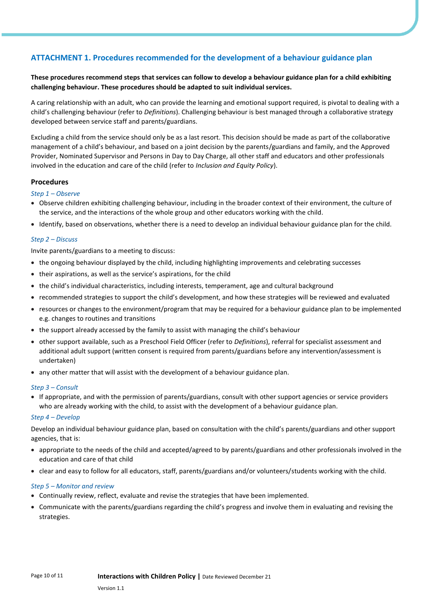# **ATTACHMENT 1. Procedures recommended for the development of a behaviour guidance plan**

# **These procedures recommend steps that services can follow to develop a behaviour guidance plan for a child exhibiting challenging behaviour. These procedures should be adapted to suit individual services.**

A caring relationship with an adult, who can provide the learning and emotional support required, is pivotal to dealing with a child's challenging behaviour (refer to *Definitions*). Challenging behaviour is best managed through a collaborative strategy developed between service staff and parents/guardians.

Excluding a child from the service should only be as a last resort. This decision should be made as part of the collaborative management of a child's behaviour, and based on a joint decision by the parents/guardians and family, and the Approved Provider, Nominated Supervisor and Persons in Day to Day Charge, all other staff and educators and other professionals involved in the education and care of the child (refer to *Inclusion and Equity Policy*).

# **Procedures**

#### *Step 1 – Observe*

- Observe children exhibiting challenging behaviour, including in the broader context of their environment, the culture of the service, and the interactions of the whole group and other educators working with the child.
- Identify, based on observations, whether there is a need to develop an individual behaviour guidance plan for the child.

# *Step 2 – Discuss*

Invite parents/guardians to a meeting to discuss:

- the ongoing behaviour displayed by the child, including highlighting improvements and celebrating successes
- their aspirations, as well as the service's aspirations, for the child
- the child's individual characteristics, including interests, temperament, age and cultural background
- recommended strategies to support the child's development, and how these strategies will be reviewed and evaluated
- resources or changes to the environment/program that may be required for a behaviour guidance plan to be implemented e.g. changes to routines and transitions
- the support already accessed by the family to assist with managing the child's behaviour
- other support available, such as a Preschool Field Officer (refer to *Definitions*), referral for specialist assessment and additional adult support (written consent is required from parents/guardians before any intervention/assessment is undertaken)
- any other matter that will assist with the development of a behaviour guidance plan.

#### *Step 3 – Consult*

• If appropriate, and with the permission of parents/guardians, consult with other support agencies or service providers who are already working with the child, to assist with the development of a behaviour guidance plan.

#### *Step 4 – Develop*

Develop an individual behaviour guidance plan, based on consultation with the child's parents/guardians and other support agencies, that is:

- appropriate to the needs of the child and accepted/agreed to by parents/guardians and other professionals involved in the education and care of that child
- clear and easy to follow for all educators, staff, parents/guardians and/or volunteers/students working with the child.

#### *Step 5 – Monitor and review*

- Continually review, reflect, evaluate and revise the strategies that have been implemented.
- Communicate with the parents/guardians regarding the child's progress and involve them in evaluating and revising the strategies.